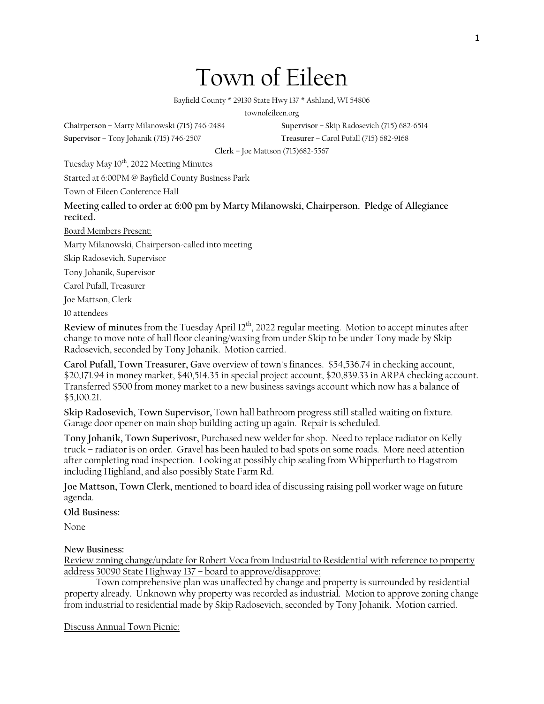1

## Town of Eileen

Bayfield County \* 29130 State Hwy 137 \* Ashland, WI 54806

townofeileen.org

**Chairperson** – Marty Milanowski (715) 746-2484 **Supervisor** – Skip Radosevich (715) 682-6514

**Supervisor** – Tony Johanik (715) 746-2507 **Treasurer** – Carol Pufall (715) 682-9168

**Clerk** – Joe Mattson (715)682-5567

Tuesday May 10<sup>th</sup>, 2022 Meeting Minutes

Started at 6:00PM @ Bayfield County Business Park

Town of Eileen Conference Hall

**Meeting called to order at 6:00 pm by Marty Milanowski, Chairperson. Pledge of Allegiance recited.**

Board Members Present:

Marty Milanowski, Chairperson-called into meeting

Skip Radosevich, Supervisor

Tony Johanik, Supervisor

Carol Pufall, Treasurer

Joe Mattson, Clerk

10 attendees

Review of minutes from the Tuesday April 12<sup>th</sup>, 2022 regular meeting. Motion to accept minutes after change to move note of hall floor cleaning/waxing from under Skip to be under Tony made by Skip Radosevich, seconded by Tony Johanik. Motion carried.

**Carol Pufall, Town Treasurer, G**ave overview of town's finances. \$54,536.74 in checking account, \$20,171.94 in money market, \$40,514.35 in special project account, \$20,839.33 in ARPA checking account. Transferred \$500 from money market to a new business savings account which now has a balance of \$5,100.21.

**Skip Radosevich, Town Supervisor,** Town hall bathroom progress still stalled waiting on fixture. Garage door opener on main shop building acting up again. Repair is scheduled.

**Tony Johanik, Town Superivosr,** Purchased new welder for shop. Need to replace radiator on Kelly truck – radiator is on order. Gravel has been hauled to bad spots on some roads. More need attention after completing road inspection. Looking at possibly chip sealing from Whipperfurth to Hagstrom including Highland, and also possibly State Farm Rd.

**Joe Mattson, Town Clerk,** mentioned to board idea of discussing raising poll worker wage on future agenda.

**Old Business:**

None

**New Business:**

Review zoning change/update for Robert Voca from Industrial to Residential with reference to property address 30090 State Highway 137 – board to approve/disapprove:

Town comprehensive plan was unaffected by change and property is surrounded by residential property already. Unknown why property was recorded as industrial. Motion to approve zoning change from industrial to residential made by Skip Radosevich, seconded by Tony Johanik. Motion carried.

Discuss Annual Town Picnic: